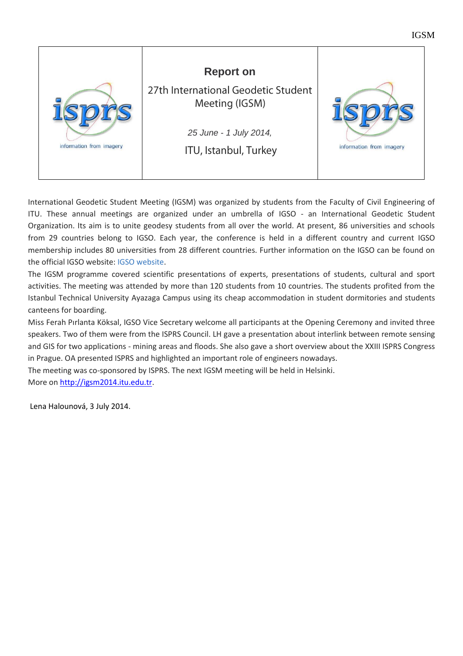



International Geodetic Student Meeting (IGSM) was organized by students from the Faculty of Civil Engineering of ITU. These annual meetings are organized under an umbrella of IGSO - an International Geodetic Student Organization. Its aim is to unite geodesy students from all over the world. At present, 86 universities and schools from 29 countries belong to IGSO. Each year, the conference is held in a different country and current IGSO membership includes 80 universities from 28 different countries. Further information on the IGSO can be found on the official IGSO website: [IGSO website.](http://igso.info/)

The IGSM programme covered scientific presentations of experts, presentations of students, cultural and sport activities. The meeting was attended by more than 120 students from 10 countries. The students profited from the Istanbul Technical University Ayazaga Campus using its cheap accommodation in student dormitories and students canteens for boarding.

Miss Ferah Pırlanta Köksal, IGSO Vice Secretary welcome all participants at the Opening Ceremony and invited three speakers. Two of them were from the ISPRS Council. LH gave a presentation about interlink between remote sensing and GIS for two applications - mining areas and floods. She also gave a short overview about the XXIII ISPRS Congress in Prague. OA presented ISPRS and highlighted an important role of engineers nowadays.

The meeting was co-sponsored by ISPRS. The next IGSM meeting will be held in Helsinki. More on [http://igsm2014.itu.edu.tr.](http://igsm2014.itu.edu.tr/)

Lena Halounová, 3 July 2014.